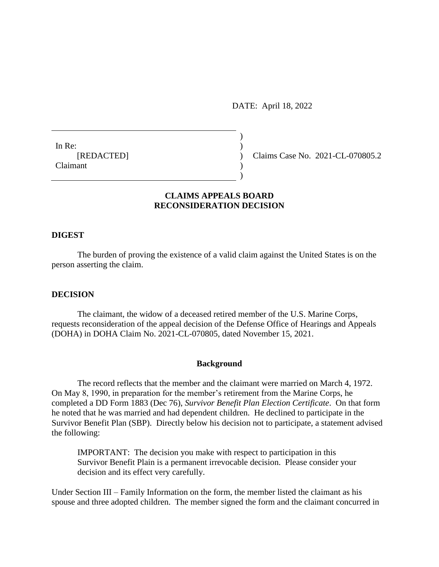DATE: April 18, 2022

 $)$ 

)

In Re:  $\qquad \qquad$ ) Claimant )

[REDACTED] ) Claims Case No. 2021-CL-070805.2

# **CLAIMS APPEALS BOARD RECONSIDERATION DECISION**

## **DIGEST**

The burden of proving the existence of a valid claim against the United States is on the person asserting the claim.

# **DECISION**

The claimant, the widow of a deceased retired member of the U.S. Marine Corps, requests reconsideration of the appeal decision of the Defense Office of Hearings and Appeals (DOHA) in DOHA Claim No. 2021-CL-070805, dated November 15, 2021.

#### **Background**

The record reflects that the member and the claimant were married on March 4, 1972. On May 8, 1990, in preparation for the member's retirement from the Marine Corps, he completed a DD Form 1883 (Dec 76), *Survivor Benefit Plan Election Certificate*. On that form he noted that he was married and had dependent children. He declined to participate in the Survivor Benefit Plan (SBP). Directly below his decision not to participate, a statement advised the following:

IMPORTANT: The decision you make with respect to participation in this Survivor Benefit Plain is a permanent irrevocable decision. Please consider your decision and its effect very carefully.

Under Section III – Family Information on the form, the member listed the claimant as his spouse and three adopted children. The member signed the form and the claimant concurred in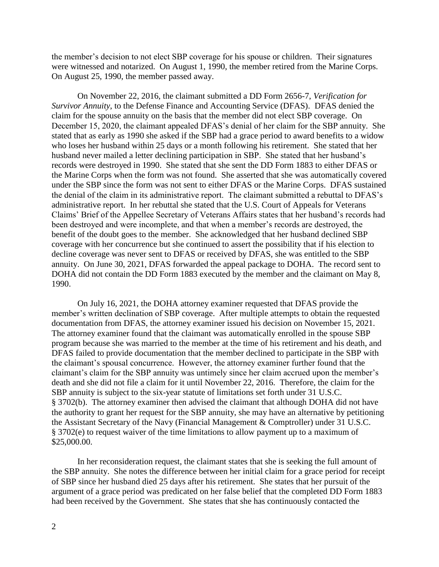the member's decision to not elect SBP coverage for his spouse or children. Their signatures were witnessed and notarized. On August 1, 1990, the member retired from the Marine Corps. On August 25, 1990, the member passed away.

On November 22, 2016, the claimant submitted a DD Form 2656-7, *Verification for Survivor Annuity*, to the Defense Finance and Accounting Service (DFAS). DFAS denied the claim for the spouse annuity on the basis that the member did not elect SBP coverage. On December 15, 2020, the claimant appealed DFAS's denial of her claim for the SBP annuity. She stated that as early as 1990 she asked if the SBP had a grace period to award benefits to a widow who loses her husband within 25 days or a month following his retirement. She stated that her husband never mailed a letter declining participation in SBP. She stated that her husband's records were destroyed in 1990. She stated that she sent the DD Form 1883 to either DFAS or the Marine Corps when the form was not found. She asserted that she was automatically covered under the SBP since the form was not sent to either DFAS or the Marine Corps. DFAS sustained the denial of the claim in its administrative report. The claimant submitted a rebuttal to DFAS's administrative report. In her rebuttal she stated that the U.S. Court of Appeals for Veterans Claims' Brief of the Appellee Secretary of Veterans Affairs states that her husband's records had been destroyed and were incomplete, and that when a member's records are destroyed, the benefit of the doubt goes to the member. She acknowledged that her husband declined SBP coverage with her concurrence but she continued to assert the possibility that if his election to decline coverage was never sent to DFAS or received by DFAS, she was entitled to the SBP annuity. On June 30, 2021, DFAS forwarded the appeal package to DOHA. The record sent to DOHA did not contain the DD Form 1883 executed by the member and the claimant on May 8, 1990.

On July 16, 2021, the DOHA attorney examiner requested that DFAS provide the member's written declination of SBP coverage. After multiple attempts to obtain the requested documentation from DFAS, the attorney examiner issued his decision on November 15, 2021. The attorney examiner found that the claimant was automatically enrolled in the spouse SBP program because she was married to the member at the time of his retirement and his death, and DFAS failed to provide documentation that the member declined to participate in the SBP with the claimant's spousal concurrence. However, the attorney examiner further found that the claimant's claim for the SBP annuity was untimely since her claim accrued upon the member's death and she did not file a claim for it until November 22, 2016. Therefore, the claim for the SBP annuity is subject to the six-year statute of limitations set forth under 31 U.S.C. § 3702(b). The attorney examiner then advised the claimant that although DOHA did not have the authority to grant her request for the SBP annuity, she may have an alternative by petitioning the Assistant Secretary of the Navy (Financial Management & Comptroller) under 31 U.S.C. § 3702(e) to request waiver of the time limitations to allow payment up to a maximum of [\\$25,000.00](https://25,000.00).

In her reconsideration request, the claimant states that she is seeking the full amount of the SBP annuity. She notes the difference between her initial claim for a grace period for receipt of SBP since her husband died 25 days after his retirement. She states that her pursuit of the argument of a grace period was predicated on her false belief that the completed DD Form 1883 had been received by the Government. She states that she has continuously contacted the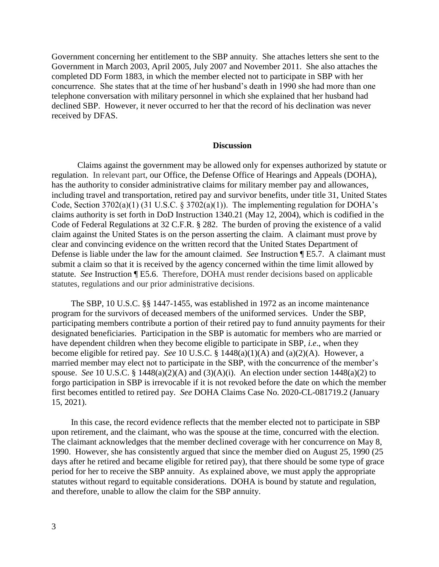Government concerning her entitlement to the SBP annuity. She attaches letters she sent to the Government in March 2003, April 2005, July 2007 and November 2011. She also attaches the completed DD Form 1883, in which the member elected not to participate in SBP with her concurrence. She states that at the time of her husband's death in 1990 she had more than one telephone conversation with military personnel in which she explained that her husband had declined SBP. However, it never occurred to her that the record of his declination was never received by DFAS.

#### **Discussion**

Claims against the government may be allowed only for expenses authorized by statute or regulation. In relevant part, our Office, the Defense Office of Hearings and Appeals (DOHA), has the authority to consider administrative claims for military member pay and allowances, including travel and transportation, retired pay and survivor benefits, under title 31, United States Code, Section 3702(a)(1) (31 U.S.C. § 3702(a)(1)). The implementing regulation for DOHA's claims authority is set forth in DoD Instruction 1340.21 (May 12, 2004), which is codified in the Code of Federal Regulations at 32 C.F.R. § 282. The burden of proving the existence of a valid claim against the United States is on the person asserting the claim. A claimant must prove by clear and convincing evidence on the written record that the United States Department of Defense is liable under the law for the amount claimed. *See* Instruction ¶ E5.7. A claimant must submit a claim so that it is received by the agency concerned within the time limit allowed by statute. *See* Instruction ¶ E5.6. Therefore, DOHA must render decisions based on applicable statutes, regulations and our prior administrative decisions.

The SBP, 10 U.S.C. §§ 1447-1455, was established in 1972 as an income maintenance program for the survivors of deceased members of the uniformed services. Under the SBP, participating members contribute a portion of their retired pay to fund annuity payments for their designated beneficiaries. Participation in the SBP is automatic for members who are married or have dependent children when they become eligible to participate in SBP, *i.e*., when they become eligible for retired pay. *See* 10 U.S.C. § 1448(a)(1)(A) and (a)(2)(A). However, a married member may elect not to participate in the SBP, with the concurrence of the member's spouse. *See* 10 U.S.C. § 1448(a)(2)(A) and (3)(A)(i). An election under section 1448(a)(2) to forgo participation in SBP is irrevocable if it is not revoked before the date on which the member first becomes entitled to retired pay. *See* DOHA Claims Case No. 2020-CL-081719.2 (January 15, 2021).

In this case, the record evidence reflects that the member elected not to participate in SBP upon retirement, and the claimant, who was the spouse at the time, concurred with the election. The claimant acknowledges that the member declined coverage with her concurrence on May 8, 1990. However, she has consistently argued that since the member died on August 25, 1990 (25 days after he retired and became eligible for retired pay), that there should be some type of grace period for her to receive the SBP annuity. As explained above, we must apply the appropriate statutes without regard to equitable considerations. DOHA is bound by statute and regulation, and therefore, unable to allow the claim for the SBP annuity.